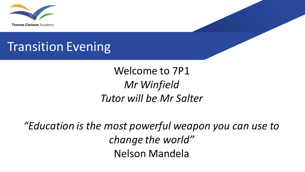

## Transition Evening

#### Welcome to 7P1 *Mr Winfield Tutor will be Mr Salter*

*"Education is the most powerful weapon you can use to change the world"* Nelson Mandela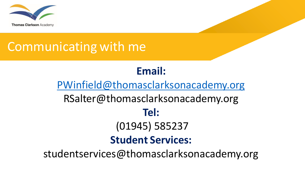

### Communicating with me

#### **Email:**

#### [PWinfield@thomasclarksonacademy.org](http://@thomasclarksonacademy.org) RSalter@thomasclarksonacademy.org **Tel:** (01945) 585237 **Student Services:**  studentservices@thomasclarksonacademy.org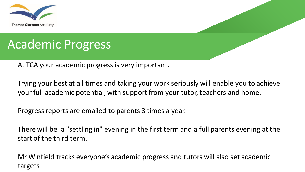

### Academic Progress

At TCA your academic progress is very important.

Trying your best at all times and taking your work seriously will enable you to achieve your full academic potential, with support from your tutor, teachers and home.

Progress reports are emailed to parents 3 times a year.

There will be a "settling in" evening in the first term and a full parents evening at the start of the third term.

Mr Winfield tracks everyone's academic progress and tutors will also set academic targets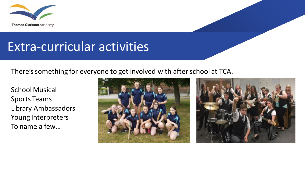

#### Extra-curricular activities

There's something for everyone to get involved with after school at TCA.

School Musical Sports Teams Library Ambassadors Young Interpreters To name a few…



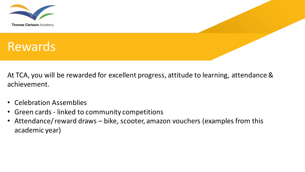

At TCA, you will be rewarded for excellent progress, attitude to learning, attendance & achievement.

- Celebration Assemblies
- Green cards linked to community competitions
- Attendance/ reward draws bike, scooter, amazon vouchers (examples from this academic year)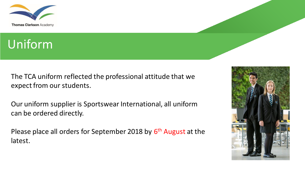

#### Uniform

The TCA uniform reflected the professional attitude that we expect from our students.

Our uniform supplier is Sportswear International, all uniform can be ordered directly.

Please place all orders for September 2018 by 6<sup>th</sup> August at the latest.

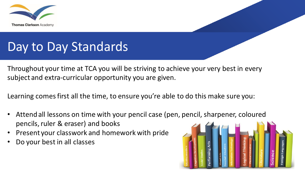

### Day to Day Standards

Throughout your time at TCA you will be striving to achieve your very best in every subject and extra-curricular opportunity you are given.

Learning comes first all the time, to ensure you're able to do this make sure you:

- Attend all lessons on time with your pencil case (pen, pencil, sharpener, coloured pencils, ruler & eraser) and books
- Present your classwork and homework with pride
- Do your best in all classes

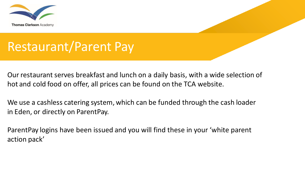

### Restaurant/Parent Pay

Our restaurant serves breakfast and lunch on a daily basis, with a wide selection of hot and cold food on offer, all prices can be found on the TCA website.

We use a cashless catering system, which can be funded through the cash loader in Eden, or directly on ParentPay.

ParentPay logins have been issued and you will find these in your 'white parent action pack'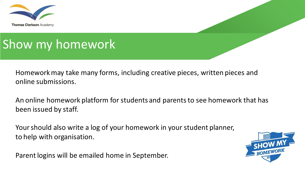

## Show my homework

Homework may take many forms, including creative pieces, written pieces and online submissions.

An online homework platform for students and parents to see homework that has been issued by staff.

Your should also write a log of your homework in your student planner, to help with organisation.

Parent logins will be emailed home in September.

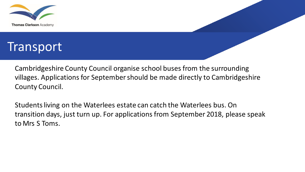



Cambridgeshire County Council organise school buses from the surrounding villages. Applications for September should be made directly to Cambridgeshire County Council.

Students living on the Waterlees estate can catch the Waterlees bus. On transition days, just turn up. For applications from September 2018, please speak to Mrs S Toms.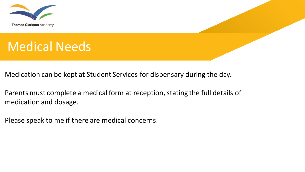

# Medical Needs

Medication can be kept at Student Services for dispensary during the day.

Parents must complete a medical form at reception, stating the full details of medication and dosage.

Please speak to me if there are medical concerns.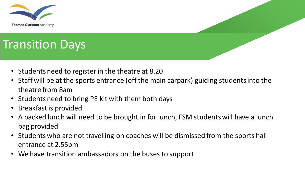

# Transition Days

- Students need to register in the theatre at 8.20
- Staff will be at the sports entrance (off the main carpark) guiding students into the theatre from 8am
- Students need to bring PE kit with them both days
- Breakfast is provided
- A packed lunch will need to be brought in for lunch, FSM students will have a lunch bag provided
- Students who are not travelling on coaches will be dismissed from the sports hall entrance at 2.55pm
- We have transition ambassadors on the buses to support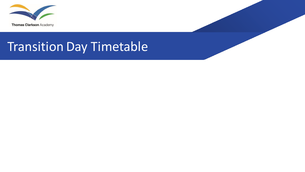

## Transition Day Timetable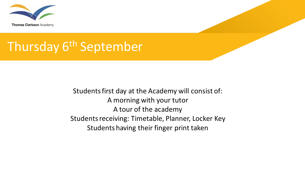

#### Thursday 6<sup>th</sup> September

Students first day at the Academy will consist of: A morning with your tutor A tour of the academy Students receiving: Timetable, Planner, Locker Key Students having their finger print taken